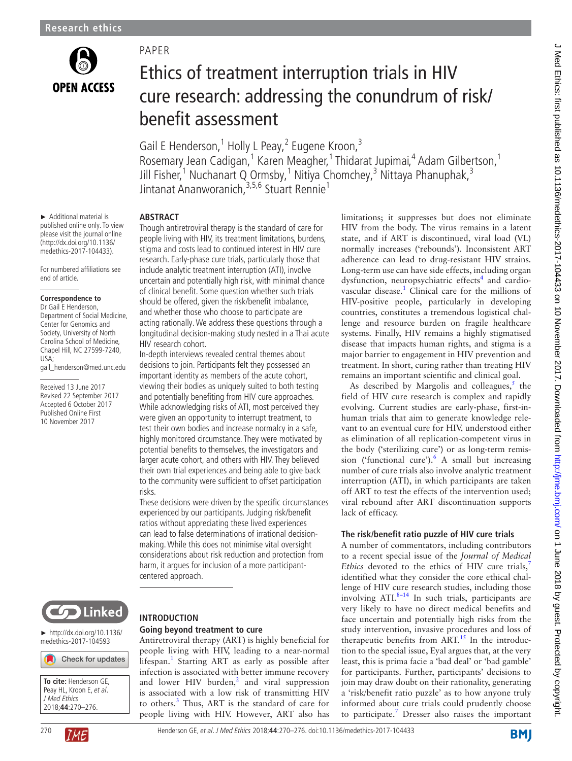

# Ethics of treatment interruption trials in HIV cure research: addressing the conundrum of risk/ benefit assessment

Gail E Henderson,<sup>1</sup> Holly L Peay,<sup>2</sup> Eugene Kroon,<sup>3</sup> Rosemary Jean Cadigan,<sup>1</sup> Karen Meagher,<sup>1</sup> Thidarat Jupimai,<sup>4</sup> Adam Gilbertson,<sup>1</sup> Jill Fisher,<sup>1</sup> Nuchanart Q Ormsby,<sup>1</sup> Nitiya Chomchey,<sup>3</sup> Nittaya Phanuphak,<sup>3</sup> Jintanat Ananworanich, <sup>3,5,6</sup> Stuart Rennie<sup>1</sup>

► Additional material is published online only. To view please visit the journal online (http://dx.doi.org/10.1136/ medethics-2017-104433).

For numbered affiliations see end of article.

#### **Correspondence to**

Dr Gail E Henderson, Department of Social Medicine, Center for Genomics and Society, University of North Carolina School of Medicine, Chapel Hill, NC 27599-7240, USA;

gail\_henderson@med.unc.edu

Received 13 June 2017 Revised 22 September 2017 Accepted 6 October 2017 Published Online First 10 November 2017

## **ABSTRACT**

Paper

Though antiretroviral therapy is the standard of care for people living with HIV, its treatment limitations, burdens, stigma and costs lead to continued interest in HIV cure research. Early-phase cure trials, particularly those that include analytic treatment interruption (ATI), involve uncertain and potentially high risk, with minimal chance of clinical benefit. Some question whether such trials should be offered, given the risk/benefit imbalance, and whether those who choose to participate are acting rationally. We address these questions through a longitudinal decision-making study nested in a Thai acute HIV research cohort.

In-depth interviews revealed central themes about decisions to join. Participants felt they possessed an important identity as members of the acute cohort, viewing their bodies as uniquely suited to both testing and potentially benefiting from HIV cure approaches. While acknowledging risks of ATI, most perceived they were given an opportunity to interrupt treatment, to test their own bodies and increase normalcy in a safe, highly monitored circumstance. They were motivated by potential benefits to themselves, the investigators and larger acute cohort, and others with HIV. They believed their own trial experiences and being able to give back to the community were sufficient to offset participation risks.

These decisions were driven by the specific circumstances experienced by our participants. Judging risk/benefit ratios without appreciating these lived experiences can lead to false determinations of irrational decisionmaking. While this does not minimise vital oversight considerations about risk reduction and protection from harm, it argues for inclusion of a more participantcentered approach.

Antiretroviral therapy (ART) is highly beneficial for people living with HIV, leading to a near-normal lifespan.<sup>1</sup> Starting ART as early as possible after infection is associated with better immune recovery and lower HIV burden,<sup>[2](#page-5-1)</sup> and viral suppression is associated with a low risk of transmitting HIV to others.<sup>3</sup> Thus, ART is the standard of care for people living with HIV. However, ART also has



## **Introduction**

## **Going beyond treatment to cure**

► [http://dx.doi.org/10.1136/](http://dx.doi.org/10.1136/medethics-2017-104593) [medethics-2017-104593](http://dx.doi.org/10.1136/medethics-2017-104593) Check for updates

| To cite: Henderson GE,                   |
|------------------------------------------|
| Peay HL, Kroon E, et al.<br>J Med Ethics |
|                                          |
| 2018;44:270-276.                         |



# **BMI**

limitations; it suppresses but does not eliminate HIV from the body. The virus remains in a latent state, and if ART is discontinued, viral load (VL) normally increases ('rebounds'). Inconsistent ART adherence can lead to drug-resistant HIV strains. Long-term use can have side effects, including organ dysfunction, neuropsychiatric effects<sup>[4](#page-5-3)</sup> and cardio-vascular disease.<sup>[1](#page-5-0)</sup> Clinical care for the millions of HIV-positive people, particularly in developing countries, constitutes a tremendous logistical challenge and resource burden on fragile healthcare systems. Finally, HIV remains a highly stigmatised disease that impacts human rights, and stigma is a major barrier to engagement in HIV prevention and treatment. In short, curing rather than treating HIV remains an important scientific and clinical goal.

As described by Margolis and colleagues, $5$  the field of HIV cure research is complex and rapidly evolving. Current studies are early-phase, first-inhuman trials that aim to generate knowledge relevant to an eventual cure for HIV, understood either as elimination of all replication-competent virus in the body ('sterilizing cure') or as long-term remission ('functional cure'). $6$  A small but increasing number of cure trials also involve analytic treatment interruption (ATI), in which participants are taken off ART to test the effects of the intervention used; viral rebound after ART discontinuation supports lack of efficacy.

## **The risk/benefit ratio puzzle of HIV cure trials**

A number of commentators, including contributors to a recent special issue of the *Journal of Medical Ethics* devoted to the ethics of HIV cure trials, $^7$  $^7$ identified what they consider the core ethical challenge of HIV cure research studies, including those involving ATI. $8-14$  In such trials, participants are very likely to have no direct medical benefits and face uncertain and potentially high risks from the study intervention, invasive procedures and loss of therapeutic benefits from  $ART.^{15}$  In the introduction to the special issue, Eyal argues that, at the very least, this is prima facie a 'bad deal' or 'bad gamble' for participants. Further, participants' decisions to join may draw doubt on their rationality, generating a 'risk/benefit ratio puzzle' as to how anyone truly informed about cure trials could prudently choose to participate. $\frac{7}{1}$  $\frac{7}{1}$  $\frac{7}{1}$  Dresser also raises the important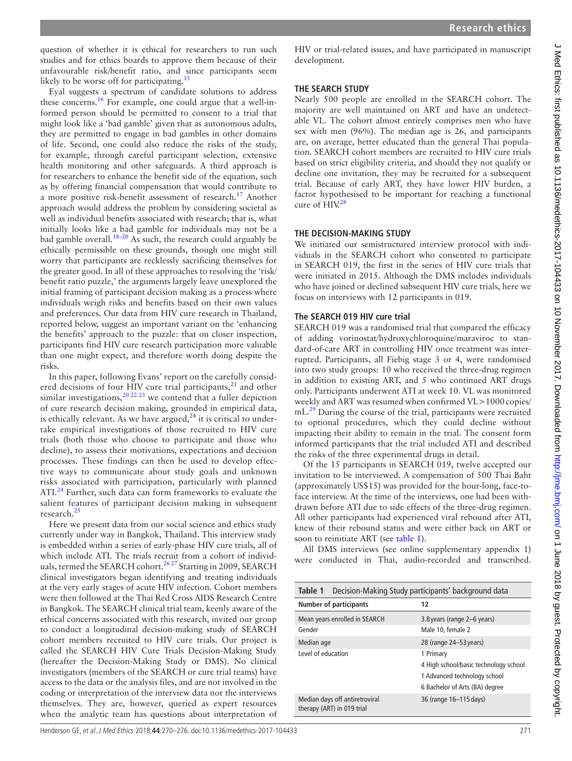question of whether it is ethical for researchers to run such studies and for ethics boards to approve them because of their unfavourable risk/benefit ratio, and since participants seem likely to be worse off for participating.<sup>15</sup>

Eyal suggests a spectrum of candidate solutions to address these concerns.<sup>[16](#page-6-1)</sup> For example, one could argue that a well-informed person should be permitted to consent to a trial that might look like a 'bad gamble' given that as autonomous adults, they are permitted to engage in bad gambles in other domains of life. Second, one could also reduce the risks of the study, for example, through careful participant selection, extensive health monitoring and other safeguards. A third approach is for researchers to enhance the benefit side of the equation, such as by offering financial compensation that would contribute to a more positive risk-benefit assessment of research.<sup>17</sup> Another approach would address the problem by considering societal as well as individual benefits associated with research; that is, what initially looks like a bad gamble for individuals may not be a bad gamble overall.<sup>18–20</sup> As such, the research could arguably be ethically permissible on these grounds, though one might still worry that participants are recklessly sacrificing themselves for the greater good. In all of these approaches to resolving the 'risk/ benefit ratio puzzle,' the arguments largely leave unexplored the initial framing of participant decision making as a process where individuals weigh risks and benefits based on their own values and preferences. Our data from HIV cure research in Thailand, reported below, suggest an important variant on the 'enhancing the benefits' approach to the puzzle: that on closer inspection, participants find HIV cure research participation more valuable than one might expect, and therefore worth doing despite the risks.

In this paper, following Evans' report on the carefully considered decisions of four HIV cure trial participants, $2<sup>1</sup>$  and other similar investigations,  $20\frac{22\frac{23}{2}}{8}$  we contend that a fuller depiction of cure research decision making, grounded in empirical data, is ethically relevant. As we have argued, $^{24}$  $^{24}$  $^{24}$  it is critical to undertake empirical investigations of those recruited to HIV cure trials (both those who choose to participate and those who decline), to assess their motivations, expectations and decision processes. These findings can then be used to develop effective ways to communicate about study goals and unknown risks associated with participation, particularly with planned ATI.<sup>[24](#page-6-6)</sup> Further, such data can form frameworks to evaluate the salient features of participant decision making in subsequent research.<sup>[25](#page-6-7)</sup>

Here we present data from our social science and ethics study currently under way in Bangkok, Thailand. This interview study is embedded within a series of early-phase HIV cure trials, all of which include ATI. The trials recruit from a cohort of individuals, termed the SEARCH cohort.<sup>2627</sup> Starting in 2009, SEARCH clinical investigators began identifying and treating individuals at the very early stages of acute HIV infection. Cohort members were then followed at the Thai Red Cross AIDS Research Centre in Bangkok. The SEARCH clinical trial team, keenly aware of the ethical concerns associated with this research, invited our group to conduct a longitudinal decision-making study of SEARCH cohort members recruited to HIV cure trials. Our project is called the SEARCH HIV Cure Trials Decision-Making Study (hereafter the Decision-Making Study or DMS). No clinical investigators (members of the SEARCH or cure trial teams) have access to the data or the analysis files, and are not involved in the coding or interpretation of the interview data nor the interviews themselves. They are, however, queried as expert resources when the analytic team has questions about interpretation of HIV or trial-related issues, and have participated in manuscript development.

## **The SEARCH study**

Nearly 500 people are enrolled in the SEARCH cohort. The majority are well maintained on ART and have an undetectable VL. The cohort almost entirely comprises men who have sex with men (96%). The median age is 26, and participants are, on average, better educated than the general Thai population. SEARCH cohort members are recruited to HIV cure trials based on strict eligibility criteria, and should they not qualify or decline one invitation, they may be recruited for a subsequent trial. Because of early ART, they have lower HIV burden, a factor hypothesised to be important for reaching a functional cure of  $HIN<sup>28</sup>$ 

#### **The Decision-Making Study**

We initiated our semistructured interview protocol with individuals in the SEARCH cohort who consented to participate in SEARCH 019, the first in the series of HIV cure trials that were initiated in 2015. Although the DMS includes individuals who have joined or declined subsequent HIV cure trials, here we focus on interviews with 12 participants in 019.

#### **The SEARCH 019 HIV cure trial**

SEARCH 019 was a randomised trial that compared the efficacy of adding vorinostat/hydroxychloroquine/maraviroc to standard-of-care ART in controlling HIV once treatment was interrupted. Participants, all Fiebig stage 3 or 4, were randomised into two study groups: 10 who received the three-drug regimen in addition to existing ART, and 5 who continued ART drugs only. Participants underwent ATI at week 10. VL was monitored weekly and ART was resumed when confirmed VL>1000 copies/ mL.<sup>29</sup> During the course of the trial, participants were recruited to optional procedures, which they could decline without impacting their ability to remain in the trial. The consent form informed participants that the trial included ATI and described the risks of the three experimental drugs in detail.

Of the 15 participants in SEARCH 019, twelve accepted our invitation to be interviewed. A compensation of 500 Thai Baht (approximately US\$15) was provided for the hour-long, face-toface interview. At the time of the interviews, one had been withdrawn before ATI due to side effects of the three-drug regimen. All other participants had experienced viral rebound after ATI, knew of their rebound status and were either back on ART or soon to reinitiate ART (see [table](#page-1-0) 1).

All DMS interviews (see online [supplementary appendix 1](https://dx.doi.org/10.1136/medethics-2017-104433)) were conducted in Thai, audio-recorded and transcribed.

<span id="page-1-0"></span>

| Decision-Making Study participants' background data<br>Table 1 |                                                                                                                      |  |
|----------------------------------------------------------------|----------------------------------------------------------------------------------------------------------------------|--|
| <b>Number of participants</b>                                  | 12                                                                                                                   |  |
| Mean years enrolled in SEARCH                                  | 3.8 years (range 2–6 years)                                                                                          |  |
| Gender                                                         | Male 10, female 2                                                                                                    |  |
| Median age                                                     | 28 (range 24–53 years)                                                                                               |  |
| Level of education                                             | 1 Primary<br>4 High school/basic technology school<br>1 Advanced technology school<br>6 Bachelor of Arts (BA) degree |  |
| Median days off antiretroviral<br>therapy (ART) in 019 trial   | 36 (range 16-115 days)                                                                                               |  |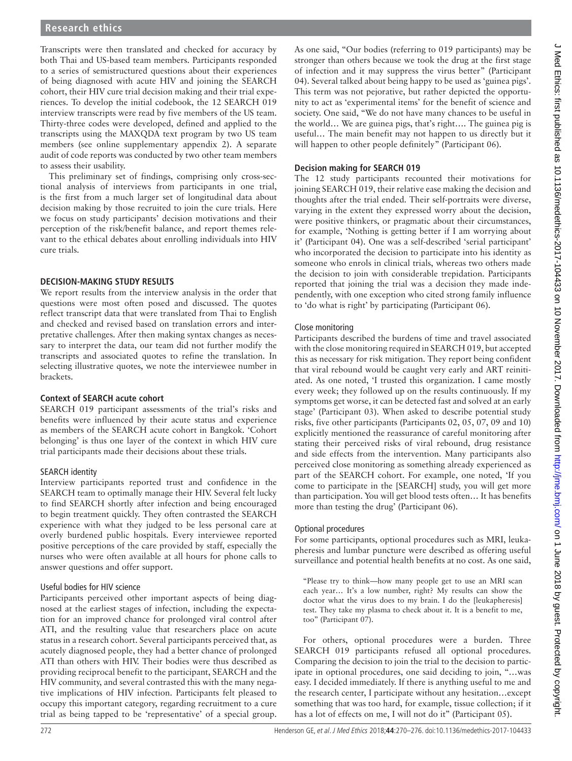Transcripts were then translated and checked for accuracy by both Thai and US-based team members. Participants responded to a series of semistructured questions about their experiences of being diagnosed with acute HIV and joining the SEARCH cohort, their HIV cure trial decision making and their trial experiences. To develop the initial codebook, the 12 SEARCH 019 interview transcripts were read by five members of the US team. Thirty-three codes were developed, defined and applied to the transcripts using the MAXQDA text program by two US team members (see online [supplementary appendix 2](https://dx.doi.org/10.1136/medethics-2017-104433)). A separate audit of code reports was conducted by two other team members to assess their usability.

This preliminary set of findings, comprising only cross-sectional analysis of interviews from participants in one trial, is the first from a much larger set of longitudinal data about decision making by those recruited to join the cure trials. Here we focus on study participants' decision motivations and their perception of the risk/benefit balance, and report themes relevant to the ethical debates about enrolling individuals into HIV cure trials.

## **Decision-making study results**

We report results from the interview analysis in the order that questions were most often posed and discussed. The quotes reflect transcript data that were translated from Thai to English and checked and revised based on translation errors and interpretative challenges. After then making syntax changes as necessary to interpret the data, our team did not further modify the transcripts and associated quotes to refine the translation. In selecting illustrative quotes, we note the interviewee number in brackets.

## **Context of SEARCH acute cohort**

SEARCH 019 participant assessments of the trial's risks and benefits were influenced by their acute status and experience as members of the SEARCH acute cohort in Bangkok. 'Cohort belonging' is thus one layer of the context in which HIV cure trial participants made their decisions about these trials.

## SEARCH identity

Interview participants reported trust and confidence in the SEARCH team to optimally manage their HIV. Several felt lucky to find SEARCH shortly after infection and being encouraged to begin treatment quickly. They often contrasted the SEARCH experience with what they judged to be less personal care at overly burdened public hospitals. Every interviewee reported positive perceptions of the care provided by staff, especially the nurses who were often available at all hours for phone calls to answer questions and offer support.

## Useful bodies for HIV science

Participants perceived other important aspects of being diagnosed at the earliest stages of infection, including the expectation for an improved chance for prolonged viral control after ATI, and the resulting value that researchers place on acute status in a research cohort. Several participants perceived that, as acutely diagnosed people, they had a better chance of prolonged ATI than others with HIV. Their bodies were thus described as providing reciprocal benefit to the participant, SEARCH and the HIV community, and several contrasted this with the many negative implications of HIV infection. Participants felt pleased to occupy this important category, regarding recruitment to a cure trial as being tapped to be 'representative' of a special group.

As one said, "Our bodies (referring to 019 participants) may be stronger than others because we took the drug at the first stage of infection and it may suppress the virus better" (Participant 04). Several talked about being happy to be used as 'guinea pigs'. This term was not pejorative, but rather depicted the opportunity to act as 'experimental items' for the benefit of science and society. One said, "We do not have many chances to be useful in the world… We are guinea pigs, that's right…. The guinea pig is useful… The main benefit may not happen to us directly but it will happen to other people definitely" (Participant 06).

## **Decision making for SEARCH 019**

The 12 study participants recounted their motivations for joining SEARCH 019, their relative ease making the decision and thoughts after the trial ended. Their self-portraits were diverse, varying in the extent they expressed worry about the decision, were positive thinkers, or pragmatic about their circumstances, for example, 'Nothing is getting better if I am worrying about it' (Participant 04). One was a self-described 'serial participant' who incorporated the decision to participate into his identity as someone who enrols in clinical trials, whereas two others made the decision to join with considerable trepidation. Participants reported that joining the trial was a decision they made independently, with one exception who cited strong family influence to 'do what is right' by participating (Participant 06).

## Close monitoring

Participants described the burdens of time and travel associated with the close monitoring required in SEARCH 019, but accepted this as necessary for risk mitigation. They report being confident that viral rebound would be caught very early and ART reinitiated. As one noted, 'I trusted this organization. I came mostly every week; they followed up on the results continuously. If my symptoms get worse, it can be detected fast and solved at an early stage' (Participant 03). When asked to describe potential study risks, five other participants (Participants 02, 05, 07, 09 and 10) explicitly mentioned the reassurance of careful monitoring after stating their perceived risks of viral rebound, drug resistance and side effects from the intervention. Many participants also perceived close monitoring as something already experienced as part of the SEARCH cohort. For example, one noted, 'If you come to participate in the [SEARCH] study, you will get more than participation. You will get blood tests often… It has benefits more than testing the drug' (Participant 06).

## Optional procedures

For some participants, optional procedures such as MRI, leukapheresis and lumbar puncture were described as offering useful surveillance and potential health benefits at no cost. As one said,

"Please try to think—how many people get to use an MRI scan each year… It's a low number, right? My results can show the doctor what the virus does to my brain. I do the [leukapheresis] test. They take my plasma to check about it. It is a benefit to me, too" (Participant 07).

For others, optional procedures were a burden. Three SEARCH 019 participants refused all optional procedures. Comparing the decision to join the trial to the decision to participate in optional procedures, one said deciding to join, "…was easy. I decided immediately. If there is anything useful to me and the research center, I participate without any hesitation…except something that was too hard, for example, tissue collection; if it has a lot of effects on me, I will not do it" (Participant 05).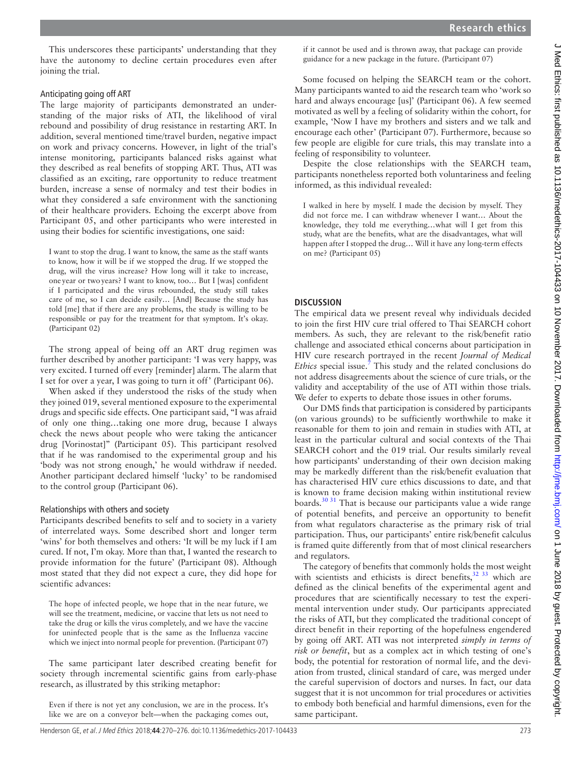This underscores these participants' understanding that they have the autonomy to decline certain procedures even after joining the trial.

#### Anticipating going off ART

The large majority of participants demonstrated an understanding of the major risks of ATI, the likelihood of viral rebound and possibility of drug resistance in restarting ART. In addition, several mentioned time/travel burden, negative impact on work and privacy concerns. However, in light of the trial's intense monitoring, participants balanced risks against what they described as real benefits of stopping ART. Thus, ATI was classified as an exciting, rare opportunity to reduce treatment burden, increase a sense of normalcy and test their bodies in what they considered a safe environment with the sanctioning of their healthcare providers. Echoing the excerpt above from Participant 05, and other participants who were interested in using their bodies for scientific investigations, one said:

I want to stop the drug. I want to know, the same as the staff wants to know, how it will be if we stopped the drug. If we stopped the drug, will the virus increase? How long will it take to increase, one year or twoyears? I want to know, too… But I [was] confident if I participated and the virus rebounded, the study still takes care of me, so I can decide easily… [And] Because the study has told [me] that if there are any problems, the study is willing to be responsible or pay for the treatment for that symptom. It's okay. (Participant 02)

The strong appeal of being off an ART drug regimen was further described by another participant: 'I was very happy, was very excited. I turned off every [reminder] alarm. The alarm that I set for over a year, I was going to turn it off' (Participant 06).

When asked if they understood the risks of the study when they joined 019, several mentioned exposure to the experimental drugs and specific side effects. One participant said, "I was afraid of only one thing…taking one more drug, because I always check the news about people who were taking the anticancer drug [Vorinostat]" (Participant 05). This participant resolved that if he was randomised to the experimental group and his 'body was not strong enough,' he would withdraw if needed. Another participant declared himself 'lucky' to be randomised to the control group (Participant 06).

## Relationships with others and society

Participants described benefits to self and to society in a variety of interrelated ways. Some described short and longer term 'wins' for both themselves and others: 'It will be my luck if I am cured. If not, I'm okay. More than that, I wanted the research to provide information for the future' (Participant 08). Although most stated that they did not expect a cure, they did hope for scientific advances:

The hope of infected people, we hope that in the near future, we will see the treatment, medicine, or vaccine that lets us not need to take the drug or kills the virus completely, and we have the vaccine for uninfected people that is the same as the Influenza vaccine which we inject into normal people for prevention. (Participant 07)

The same participant later described creating benefit for society through incremental scientific gains from early-phase research, as illustrated by this striking metaphor:

Even if there is not yet any conclusion, we are in the process. It's like we are on a conveyor belt—when the packaging comes out,

if it cannot be used and is thrown away, that package can provide guidance for a new package in the future. (Participant 07)

Some focused on helping the SEARCH team or the cohort. Many participants wanted to aid the research team who 'work so hard and always encourage [us]' (Participant 06). A few seemed motivated as well by a feeling of solidarity within the cohort, for example, 'Now I have my brothers and sisters and we talk and encourage each other' (Participant 07). Furthermore, because so few people are eligible for cure trials, this may translate into a feeling of responsibility to volunteer.

Despite the close relationships with the SEARCH team, participants nonetheless reported both voluntariness and feeling informed, as this individual revealed:

I walked in here by myself. I made the decision by myself. They did not force me. I can withdraw whenever I want… About the knowledge, they told me everything…what will I get from this study, what are the benefits, what are the disadvantages, what will happen after I stopped the drug… Will it have any long-term effects on me? (Participant 05)

## **Discussion**

The empirical data we present reveal why individuals decided to join the first HIV cure trial offered to Thai SEARCH cohort members. As such, they are relevant to the risk/benefit ratio challenge and associated ethical concerns about participation in HIV cure research portrayed in the recent *Journal of Medical*  Ethics special issue.<sup>[7](#page-5-6)</sup> This study and the related conclusions do not address disagreements about the science of cure trials, or the validity and acceptability of the use of ATI within those trials. We defer to experts to debate those issues in other forums.

Our DMS finds that participation is considered by participants (on various grounds) to be sufficiently worthwhile to make it reasonable for them to join and remain in studies with ATI, at least in the particular cultural and social contexts of the Thai SEARCH cohort and the 019 trial. Our results similarly reveal how participants' understanding of their own decision making may be markedly different than the risk/benefit evaluation that has characterised HIV cure ethics discussions to date, and that is known to frame decision making within institutional review boards. $30\,31$  That is because our participants value a wide range of potential benefits, and perceive an opportunity to benefit from what regulators characterise as the primary risk of trial participation. Thus, our participants' entire risk/benefit calculus is framed quite differently from that of most clinical researchers and regulators.

The category of benefits that commonly holds the most weight with scientists and ethicists is direct benefits,  $32\frac{33}{1}$  which are defined as the clinical benefits of the experimental agent and procedures that are scientifically necessary to test the experimental intervention under study. Our participants appreciated the risks of ATI, but they complicated the traditional concept of direct benefit in their reporting of the hopefulness engendered by going off ART. ATI was not interpreted *simply in terms of risk or benefit*, but as a complex act in which testing of one's body, the potential for restoration of normal life, and the deviation from trusted, clinical standard of care, was merged under the careful supervision of doctors and nurses. In fact, our data suggest that it is not uncommon for trial procedures or activities to embody both beneficial and harmful dimensions, even for the same participant.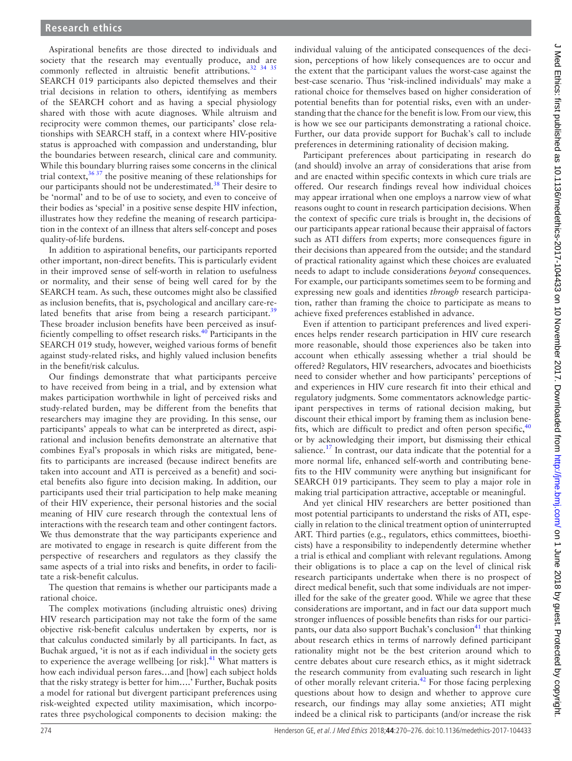Aspirational benefits are those directed to individuals and society that the research may eventually produce, and are commonly reflected in altruistic benefit attributions.<sup>32</sup> <sup>34</sup> <sup>35</sup> SEARCH 019 participants also depicted themselves and their trial decisions in relation to others, identifying as members of the SEARCH cohort and as having a special physiology shared with those with acute diagnoses. While altruism and reciprocity were common themes, our participants' close relationships with SEARCH staff, in a context where HIV-positive status is approached with compassion and understanding, blur the boundaries between research, clinical care and community. While this boundary blurring raises some concerns in the clinical trial context, $36\frac{37}{10}$  the positive meaning of these relationships for our participants should not be underestimated.<sup>[38](#page-6-14)</sup> Their desire to be 'normal' and to be of use to society, and even to conceive of their bodies as 'special' in a positive sense despite HIV infection, illustrates how they redefine the meaning of research participation in the context of an illness that alters self-concept and poses quality-of-life burdens.

In addition to aspirational benefits, our participants reported other important, non-direct benefits. This is particularly evident in their improved sense of self-worth in relation to usefulness or normality, and their sense of being well cared for by the SEARCH team. As such, these outcomes might also be classified as inclusion benefits, that is, psychological and ancillary care-re-lated benefits that arise from being a research participant.<sup>[39](#page-6-15)</sup> These broader inclusion benefits have been perceived as insufficiently compelling to offset research risks. $40$  Participants in the SEARCH 019 study, however, weighed various forms of benefit against study-related risks, and highly valued inclusion benefits in the benefit/risk calculus.

Our findings demonstrate that what participants perceive to have received from being in a trial, and by extension what makes participation worthwhile in light of perceived risks and study-related burden, may be different from the benefits that researchers may imagine they are providing. In this sense, our participants' appeals to what can be interpreted as direct, aspirational and inclusion benefits demonstrate an alternative that combines Eyal's proposals in which risks are mitigated, benefits to participants are increased (because indirect benefits are taken into account and ATI is perceived as a benefit) and societal benefits also figure into decision making. In addition, our participants used their trial participation to help make meaning of their HIV experience, their personal histories and the social meaning of HIV cure research through the contextual lens of interactions with the research team and other contingent factors. We thus demonstrate that the way participants experience and are motivated to engage in research is quite different from the perspective of researchers and regulators as they classify the same aspects of a trial into risks and benefits, in order to facilitate a risk-benefit calculus.

The question that remains is whether our participants made a rational choice.

The complex motivations (including altruistic ones) driving HIV research participation may not take the form of the same objective risk-benefit calculus undertaken by experts, nor is that calculus conducted similarly by all participants. In fact, as Buchak argued, 'it is not as if each individual in the society gets to experience the average wellbeing [or risk]. $41$  What matters is how each individual person fares...and [how] each subject holds that the risky strategy is better for him….' Further, Buchak posits a model for rational but divergent participant preferences using risk-weighted expected utility maximisation, which incorporates three psychological components to decision making: the

individual valuing of the anticipated consequences of the decision, perceptions of how likely consequences are to occur and the extent that the participant values the worst-case against the best-case scenario. Thus 'risk-inclined individuals' may make a rational choice for themselves based on higher consideration of potential benefits than for potential risks, even with an understanding that the chance for the benefit is low. From our view, this is how we see our participants demonstrating a rational choice. Further, our data provide support for Buchak's call to include preferences in determining rationality of decision making.

Participant preferences about participating in research do (and should) involve an array of considerations that arise from and are enacted within specific contexts in which cure trials are offered. Our research findings reveal how individual choices may appear irrational when one employs a narrow view of what reasons ought to count in research participation decisions. When the context of specific cure trials is brought in, the decisions of our participants appear rational because their appraisal of factors such as ATI differs from experts; more consequences figure in their decisions than appeared from the outside; and the standard of practical rationality against which these choices are evaluated needs to adapt to include considerations *beyond* consequences. For example, our participants sometimes seem to be forming and expressing new goals and identities *through* research participation, rather than framing the choice to participate as means to achieve fixed preferences established in advance.

Even if attention to participant preferences and lived experiences helps render research participation in HIV cure research more reasonable, should those experiences also be taken into account when ethically assessing whether a trial should be offered? Regulators, HIV researchers, advocates and bioethicists need to consider whether and how participants' perceptions of and experiences in HIV cure research fit into their ethical and regulatory judgments. Some commentators acknowledge participant perspectives in terms of rational decision making, but discount their ethical import by framing them as inclusion benefits, which are difficult to predict and often person specific, $40$ or by acknowledging their import, but dismissing their ethical salience.<sup>17</sup> In contrast, our data indicate that the potential for a more normal life, enhanced self-worth and contributing benefits to the HIV community were anything but insignificant for SEARCH 019 participants. They seem to play a major role in making trial participation attractive, acceptable or meaningful.

And yet clinical HIV researchers are better positioned than most potential participants to understand the risks of ATI, especially in relation to the clinical treatment option of uninterrupted ART. Third parties (e.g., regulators, ethics committees, bioethicists) have a responsibility to independently determine whether a trial is ethical and compliant with relevant regulations. Among their obligations is to place a cap on the level of clinical risk research participants undertake when there is no prospect of direct medical benefit, such that some individuals are not imperilled for the sake of the greater good. While we agree that these considerations are important, and in fact our data support much stronger influences of possible benefits than risks for our participants, our data also support Buchak's conclusion<sup>41</sup> that thinking about research ethics in terms of narrowly defined participant rationality might not be the best criterion around which to centre debates about cure research ethics, as it might sidetrack the research community from evaluating such research in light of other morally relevant criteria.<sup>42</sup> For those facing perplexing questions about how to design and whether to approve cure research, our findings may allay some anxieties; ATI might indeed be a clinical risk to participants (and/or increase the risk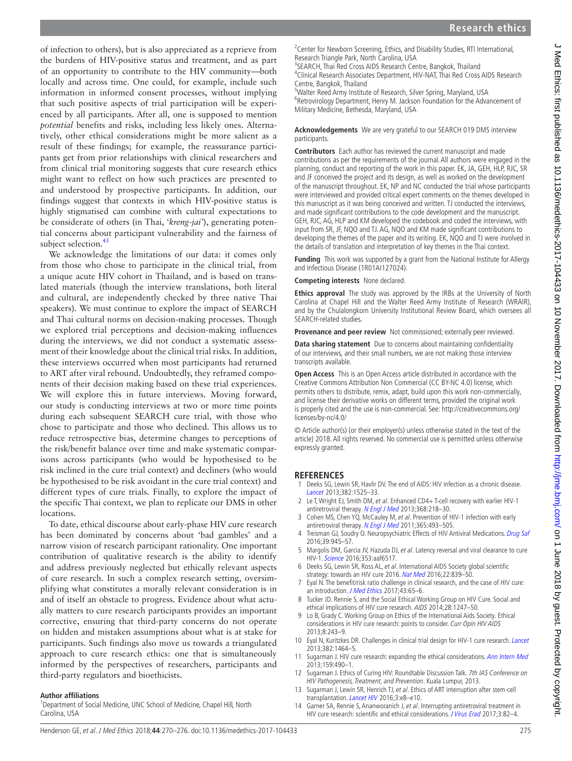of infection to others), but is also appreciated as a reprieve from the burdens of HIV-positive status and treatment, and as part of an opportunity to contribute to the HIV community—both locally and across time. One could, for example, include such information in informed consent processes, without implying that such positive aspects of trial participation will be experienced by all participants. After all, one is supposed to mention *potential* benefits and risks, including less likely ones. Alternatively, other ethical considerations might be more salient as a result of these findings; for example, the reassurance participants get from prior relationships with clinical researchers and from clinical trial monitoring suggests that cure research ethics might want to reflect on how such practices are presented to and understood by prospective participants. In addition, our findings suggest that contexts in which HIV-positive status is highly stigmatised can combine with cultural expectations to be considerate of others (in Thai, '*kreng-jai'*), generating potential concerns about participant vulnerability and the fairness of subject selection.<sup>[43](#page-6-19)</sup>

We acknowledge the limitations of our data: it comes only from those who chose to participate in the clinical trial, from a unique acute HIV cohort in Thailand, and is based on translated materials (though the interview translations, both literal and cultural, are independently checked by three native Thai speakers). We must continue to explore the impact of SEARCH and Thai cultural norms on decision-making processes. Though we explored trial perceptions and decision-making influences during the interviews, we did not conduct a systematic assessment of their knowledge about the clinical trial risks. In addition, these interviews occurred when most participants had returned to ART after viral rebound. Undoubtedly, they reframed components of their decision making based on these trial experiences. We will explore this in future interviews. Moving forward, our study is conducting interviews at two or more time points during each subsequent SEARCH cure trial, with those who chose to participate and those who declined. This allows us to reduce retrospective bias, determine changes to perceptions of the risk/benefit balance over time and make systematic comparisons across participants (who would be hypothesised to be risk inclined in the cure trial context) and decliners (who would be hypothesised to be risk avoidant in the cure trial context) and different types of cure trials. Finally, to explore the impact of the specific Thai context, we plan to replicate our DMS in other locations.

To date, ethical discourse about early-phase HIV cure research has been dominated by concerns about 'bad gambles' and a narrow vision of research participant rationality. One important contribution of qualitative research is the ability to identify and address previously neglected but ethically relevant aspects of cure research. In such a complex research setting, oversimplifying what constitutes a morally relevant consideration is in and of itself an obstacle to progress. Evidence about what actually matters to cure research participants provides an important corrective, ensuring that third-party concerns do not operate on hidden and mistaken assumptions about what is at stake for participants. Such findings also move us towards a triangulated approach to cure research ethics: one that is simultaneously informed by the perspectives of researchers, participants and third-party regulators and bioethicists.

#### **Author affiliations**

<sup>1</sup>Department of Social Medicine, UNC School of Medicine, Chapel Hill, North Carolina, USA

<sup>2</sup> Center for Newborn Screening, Ethics, and Disability Studies, RTI International, Research Triangle Park, North Carolina, USA<br><sup>3</sup>SEARCH, Thai Red Cross AIDS Research Centre, Bangkok, Thailand

<sup>3</sup>SEARCH, Thai Red Cross AIDS Research Centre, Bangkok, Thailand<br><sup>4</sup>Clinical Research Associates Department, HIV-NAT, Thai Red Cross AIDS Research Centre, Bangkok, Thailand

<sup>5</sup>Walter Reed Army Institute of Research, Silver Spring, Maryland, USA<br><sup>6</sup>Betrovirology Department, Henry M. Jackson Foundation for the Adva

 $6$ Retrovirology Department, Henry M. Jackson Foundation for the Advancement of Military Medicine, Bethesda, Maryland, USA

#### **Acknowledgements** We are very grateful to our SEARCH 019 DMS interview participants.

**Contributors** Each author has reviewed the current manuscript and made contributions as per the requirements of the journal. All authors were engaged in the planning, conduct and reporting of the work in this paper. EK, JA, GEH, HLP, RJC, SR and JF conceived the project and its design, as well as worked on the development of the manuscript throughout. EK, NP and NC conducted the trial whose participants were interviewed and provided critical expert comments on the themes developed in this manuscript as it was being conceived and written. TJ conducted the interviews, and made significant contributions to the code development and the manuscript. GEH, RJC, AG, HLP and KM developed the codebook and coded the interviews, with input from SR, JF, NQO and TJ. AG, NQO and KM made significant contributions to developing the themes of the paper and its writing. EK, NQO and TJ were involved in the details of translation and interpretation of key themes in the Thai context.

**Funding** This work was supported by a grant from the National Institute for Allergy and Infectious Disease (1R01AI127024).

**Competing interests** None declared.

**Ethics approval** The study was approved by the IRBs at the University of North Carolina at Chapel Hill and the Walter Reed Army Institute of Research (WRAIR), and by the Chulalongkorn University Institutional Review Board, which oversees all SEARCH-related studies.

**Provenance and peer review** Not commissioned; externally peer reviewed.

**Data sharing statement** Due to concerns about maintaining confidentiality of our interviews, and their small numbers, we are not making those interview transcripts available.

**Open Access** This is an Open Access article distributed in accordance with the Creative Commons Attribution Non Commercial (CC BY-NC 4.0) license, which permits others to distribute, remix, adapt, build upon this work non-commercially, and license their derivative works on different terms, provided the original work is properly cited and the use is non-commercial. See: [http://creativecommons.org/](http://creativecommons.org/licenses/by-nc/4.0/) [licenses/by-nc/4.0/](http://creativecommons.org/licenses/by-nc/4.0/)

© Article author(s) (or their employer(s) unless otherwise stated in the text of the article) 2018. All rights reserved. No commercial use is permitted unless otherwise expressly granted.

#### **References**

- <span id="page-5-0"></span>1 Deeks SG, Lewin SR, Havlir DV. The end of AIDS: HIV infection as a chronic disease. [Lancet](http://dx.doi.org/10.1016/S0140-6736(13)61809-7) 2013;382:1525–33.
- <span id="page-5-1"></span>2 Le T, Wright EJ, Smith DM, et al. Enhanced CD4+ T-cell recovery with earlier HIV-1 antiretroviral therapy. [N Engl J Med](http://dx.doi.org/10.1056/NEJMoa1110187) 2013;368:218-30.
- <span id="page-5-2"></span>3 Cohen MS, Chen YQ, McCauley M, et al. Prevention of HIV-1 infection with early antiretroviral therapy. [N Engl J Med](http://dx.doi.org/10.1056/NEJMoa1105243) 2011;365:493-505.
- <span id="page-5-3"></span>4 Treisman GJ, Soudry O. Neuropsychiatric Effects of HIV Antiviral Medications. [Drug Saf](http://dx.doi.org/10.1007/s40264-016-0440-y) 2016;39:945–57.
- <span id="page-5-4"></span>5 Margolis DM, Garcia JV, Hazuda DJ, et al. Latency reversal and viral clearance to cure HIV-1. [Science](http://dx.doi.org/10.1126/science.aaf6517) 2016;353:aaf6517.
- <span id="page-5-5"></span>6 Deeks SG, Lewin SR, Ross AL, et al. International AIDS Society global scientific strategy: towards an HIV cure 2016. [Nat Med](http://dx.doi.org/10.1038/nm.4108) 2016;22:839-50.
- <span id="page-5-6"></span>Eyal N. The benefit/risk ratio challenge in clinical research, and the case of HIV cure: an introduction. [J Med Ethics](http://dx.doi.org/10.1136/medethics-2016-103427) 2017;43:65-6.
- <span id="page-5-7"></span>8 Tucker JD. Rennie S, and the Social Ethical Working Group on HIV Cure. Social and ethical implications of HIV cure research. AIDS 2014;28:1247–50.
- 9 Lo B, Grady C. Working Group on Ethics of the International Aids Society. Ethical considerations in HIV cure research: points to consider. Curr Opin HIV AIDS 2013;8:243–9.
- 10 Eyal N, Kuritzkes DR. Challenges in clinical trial design for HIV-1 cure research. [Lancet](http://dx.doi.org/10.1016/S0140-6736(13)62040-1) 2013;382:1464–5.
- 11 Sugarman J. HIV cure research: expanding the ethical considerations. [Ann Intern Med](http://dx.doi.org/10.7326/0003-4819-159-7-201310010-00694) 2013;159:490–1.
- 12 Sugarman J. Ethics of Curing HIV: Roundtable Discussion Talk. 7th IAS Conference on HIV Pathogenesis, Treatment, and Prevention. Kuala Lumpur, 2013.
- 13 Sugarman J, Lewin SR, Henrich TJ, et al. Ethics of ART interruption after stem-cell transplantation. [Lancet HIV](http://dx.doi.org/10.1016/S2352-3018(15)00248-9) 2016;3:e8-e10.
- 14 Garner SA, Rennie S, Ananworanich J, et al. Interrupting antiretroviral treatment in HIV cure research: scientific and ethical considerations. [J Virus Erad](http://www.ncbi.nlm.nih.gov/pubmed/28435691) 2017;3:82-4.